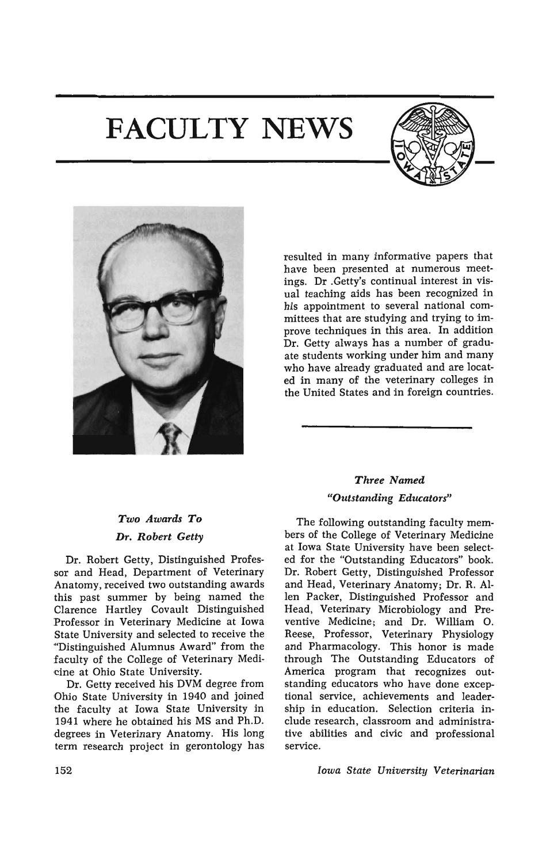# **FACULTY NEWS**





resulted in many informative papers that have been presented at numerous meetings. Dr .Getty's continual interest in visual teaching aids has been recognized in his appointment to several national committees that are studying and trying to improve techniques in this area. In addition Dr. Getty always has a number of graduate students working under him and many who have already graduated and are located in many of the veterinary colleges in the United States and in foreign countries.

## *Two Awards To*  Dr. *Robert Getty*

Dr. Robert Getty, Distinguished Professor and Head, Department of Veterinary Anatomy, received two outstanding awards this past summer by being named the Clarence Hartley Covault Distinguished Professor in Veterinary Medicine at Iowa State University and selected to receive the "Distinguished Alumnus Award" from the faculty of the College of Veterinary Medicine at Ohio State University.

Dr. Getty received his DVM degree from Ohio State University in 1940 and joined the faculty at Iowa State University in 1941 where he obtained his MS and Ph.D. degrees in Veterinary Anatomy. His long term research project in gerontology has

## *Three Named "Outstanding Educators"*

The following outstanding faculty members of the College of Veterinary Medicine at Iowa State University have been selected for the "Outstanding Educators" book. Dr. Robert Getty, Distinguished Professor and Head, Veterinary Anatomy; Dr. R. Allen Packer, Distinguished Professor and Head, Veterinary Microbiology and Preventive Medicine; and Dr. William O. Reese, Professor, Veterinary Physiology and Pharmacology. This honor is made through The Outstanding Educators of America program that recognizes outstanding educators who have done exceptional service, achievements and leadership in education. Selection criteria include research, classroom and administrative abilities and civic and professional service.

*Iowa State University Veterinarian*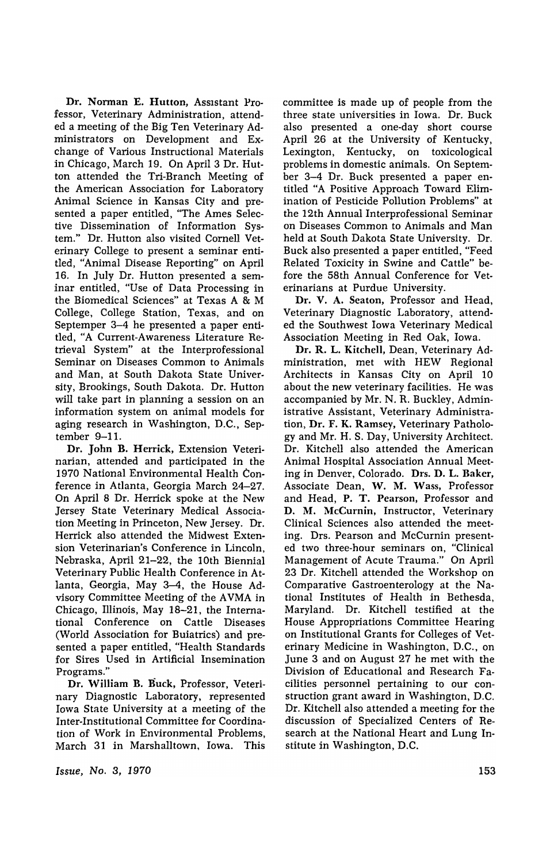Dr. Norman E. Hutton, Assistant Professor, Veterinary Administration, attended a meeting of the Big Ten Veterinary Administrators on Development and Exchange of Various Instructional Materials in Chicago, March 19. On April 3 Dr. Hutton attended the Tri-Branch Meeting of the American Association for Laboratory Animal Science in Kansas City and presented a paper entitled, "The Ames Selective Dissemination of Information System." Dr. Hutton also visited Cornell Veterinary College to present a seminar entitled, "Animal Disease Reporting" on April 16. In July Dr. Hutton presented a seminar entitled, "Use of Data Processing in the Biomedical Sciences" at Texas A & M College, College Station, Texas, and on Septemper 3-4 he presented a paper entitled, "A Current-Awareness Literature Retrieval System" at the Interprofessional Seminar on Diseases Common to Animals and Man, at South Dakota State University, Brookings, South Dakota. Dr. Hutton will take part in planning a session on an information system on animal models for aging research in Washington, D.C., September 9-11.

Dr. John B. Herrick, Extension Veterinarian, attended and participated in the 1970 National Environmental Health Conference in Atlanta, Georgia March 24-27. On April 8 Dr. Herrick spoke at the New Jersey State Veterinary Medical Association Meeting in Princeton, New Jersey. Dr. Herrick also attended the Midwest Extension Veterinarian's Conference in Lincoln, Nebraska, April 21-22, the 10th Biennial Veterinary Public Health Conference in Atlanta, Georgia, May 3-4, the House Advisory Committee Meeting of the A VMA in Chicago, Illinois, May 18-21, the International Conference on Cattle Diseases (World Association for Buiatrics) and presented a paper entitled, "Health Standards for Sires Used in Artificial Insemination Programs."

Dr. William B. Buck, Professor, Veterinary Diagnostic Laboratory, represented Iowa State University at a meeting of the Inter-Institutional Committee for Coordination of Work in Environmental Problems, March 31 in Marshalltown, Iowa. This

*Issue,* No.3, 1970

committee is made up of people from the three state universities in Iowa. Dr. Buck also presented a one-day short course April 26 at the University of Kentucky, Lexington, Kentucky, on toxicological problems in domestic animals. On September 3-4 Dr. Buck presented a paper entitled "A Positive Approach Toward Elimination of Pesticide Pollution Problems" at the 12th Annual Interprofessional Seminar on Diseases Common to Animals and Man held at South Dakota State University. Dr. Buck also presented a paper entitled, "Feed Related Toxicity in Swine and Cattle" before the 58th Annual Conference for Veterinarians at Purdue University.

Dr. V. A. Seaton, Professor and Head, Veterinary Diagnostic Laboratory, attended the Southwest Iowa Veterinary Medical Association Meeting in Red Oak, Iowa.

Dr. R. L. Kitchell, Dean, Veterinary Administration, met with HEW Regional Architects in Kansas City on April 10 about the new veterinary facilities. He was accompanied by Mr. N. R. Buckley. Administrative Assistant, Veterinary Administration, Dr. F. K. Ramsey, Veterinary Pathology and Mr. H. S. Day, University Architect. Dr. Kitchell also attended the American Animal Hospital Association Annual Meeting in Denver, Colorado. Drs. D. L. Baker, Associate Dean, W. M. Wass, Professor and Head, P. T. Pearson, Professor and D. M. McCurnin, Instructor, Veterinary Clinical Sciences also attended the meeting. Drs. Pearson and McCumin presented two three-hour seminars on, "Clinical Management of Acute Trauma." On April 23 Dr. Kitchell attended the Workshop on Comparative Gastroenterology at the National Institutes of Health in Bethesda, Maryland. Dr. Kitchell testified at the House Appropriations Committee Hearing on Institutional Grants for Colleges of Veterinary Medicine in Washington, D.C., on June 3 and on August 27 he met with the Division of Educational and Research Facilities personnel pertaining to our construction grant award in Washington, D.C. Dr. Kitchell also attended a meeting for the discussion of Specialized Centers of Research at the National Heart and Lung Institute in Washington, D.C.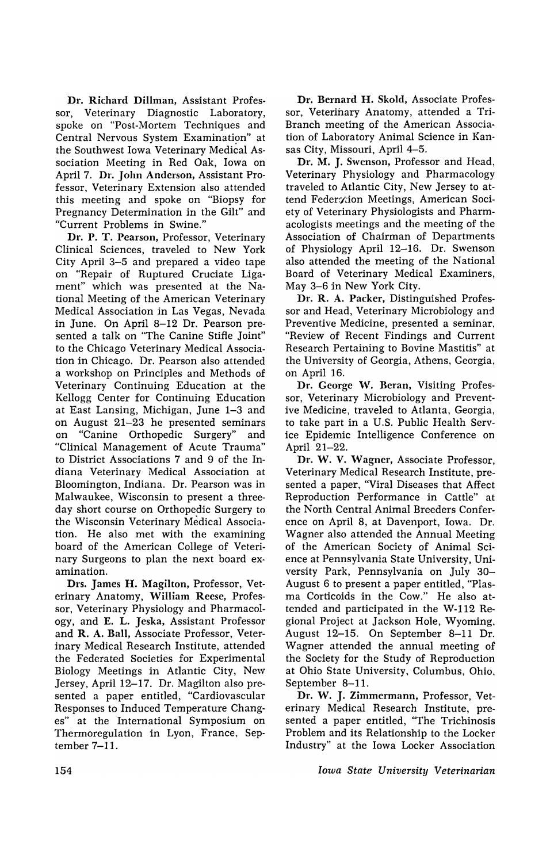Dr. Richard Dillman, Assistant Professor, Veterinary Diagnostic Laboratory, spoke on "Post-Mortem Techniques and Central Nervous System Examination" at the Southwest Iowa Veterinary Medical Association Meeting in Red Oak, Iowa on April 7. Dr. John Anderson, Assistant Professor, Veterinary Extension also attended this meeting and spoke on "Biopsy for Pregnancy Determination in the Gilt" and "Current Problems in Swine."

Dr. P. T. Pearson, Professor, Veterinary Clinical Sciences, traveled to New York City April 3-5 and prepared a video tape on "Repair of Ruptured Cruciate Ligament" which was presented at the National Meeting of the American Veterinary Medical Association in Las Vegas, Nevada in June. On April 8-12 Dr. Pearson presented a talk on "The Canine Stifle Joint" to the Chicago Veterinary Medical Association in Chicago. Dr. Pearson also attended a workshop on Principles and Methods of Veterinary Continuing Education at the Kellogg Center for Continuing Education at East Lansing, Michigan, June 1-3 and on August 21-23 he presented seminars on "Canine Orthopedic Surgery" and "Clinical Management of Acute Trauma" to District Associations 7 and 9 of the Indiana Veterinary Medical Association at Bloomington, Indiana. Dr. Pearson was in Malwaukee, Wisconsin to present a threeday short course on Orthopedjc Surgery to the Wisconsin Veterinary Medical Association. He also met with the examining board of the American College of Veterinary Surgeons to plan the next board examination.

Drs. James H. Magilton, Professor, Veterinary Anatomy, William Reese, Professor, Veterinary Physiology and Pharmacology, and E. L. Jeska, Assistant Professor and R. A. Ball, Associate Professor, Veterinary Medical Research Institute, attended the Federated Societies for Experimental Biology Meetings in Atlantic City, New Jersey, April 12-17. Dr. Magilton also presented a paper entitled, "Cardiovascular Responses to Induced Temperature Chang· es" at the International Symposium on Thermoregulation in Lyon, France, Sep· tember 7-11.

Dr. Bernard H. Skold, Associate Professor, Veterinary Anatomy, attended a Tri-Branch meeting of the American Association of Laboratory Animal Science in Kansas City, Missouri, April 4-5.

Dr. M. J. Swenson, Professor and Head, Veterinary Physiology and Pharmacology traveled to Atlantic City, New Jersey to attend Federmion Meetings, American Society of Veterinary Physiologists and Pharmacologists meetings and the meeting of the Association of Chairman of Departments of Physiology April 12-16. Dr. Swenson also attended the meeting of the National Board of Veterinary Medical Examiners, May 3-6 in New York City.

Dr. R. A. Packer, Distinguished Professor and Head, Veterinary Microbiology and Preventive Medicine, presented a seminar, "Review of Recent Findings and Current Research Pertaining to Bovine Mastitis" at the University of Georgia, Athens, Georgia, on April 16.

Dr. George W. Beran, Visiting Professor, Veterinary Microbiology and Preventive Medicine, traveled to Atlanta, Georgia, to take part in a U.S. Public Health Service Epidemic Intelligence Conference on April 21-22.

Dr. W. V. Wagner, Associate Professor, Veterinary Medical Research Institute, presented a paper, "Viral Diseases that Affect Reproduction Performance in Cattle" at the North Central Animal Breeders Conference on April 8, at Davenport, Iowa. Dr. Wagner also attended the Annual Meeting of the American Society of Animal Science at Pennsylvania State University, University Park, Pennsylvania on July 30- August 6 to present a paper entitled, "Plasma Corticoids in the Cow." He also attended and participated in the W-112 Regional Project at Jackson Hole, Wyoming, August 12-15. On September 8-11 Dr. Wagner attended the annual meeting of the Society for the Study of Reproduction at Ohio State University, Columbus, Ohio, September 8-11.

Dr. W. J. Zimmermann, Professor, Veterinary Medical Research Institute, presented a paper entitled, "The Trichinosis Problem and its Relationship to the Locker Industry" at the Iowa Locker Association

*Iowa State University Veterinarian*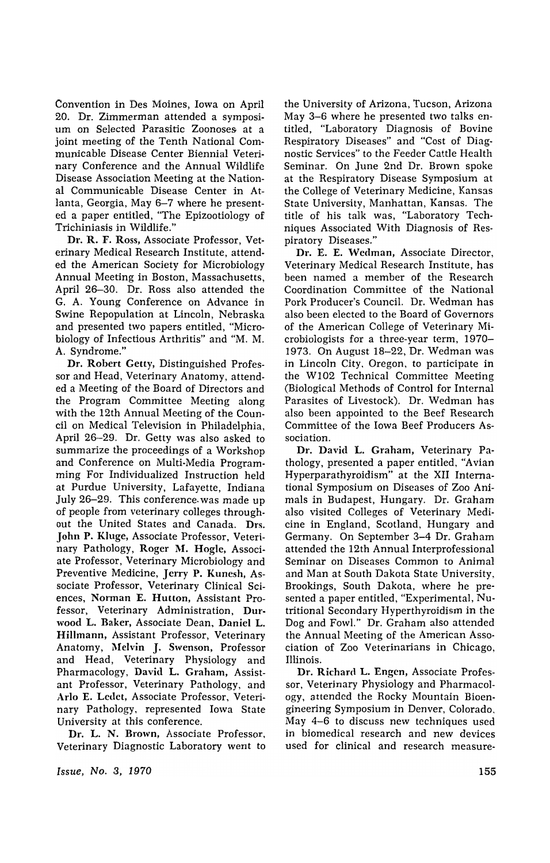Convention in Des Moines, Iowa on April 20. Dr. Zimmerman attended a symposium on Selected Parasitic Zoonoses at a joint meeting of the Tenth National Communicable Disease Center Biennial Veterinary Conference and the Annual Wildlife Disease Association Meeting at the National Communicable Disease Center in Atlanta, Georgia, May 6-7 where he presented a paper entitled, "The Epizootiology of Trichiniasis in Wildlife."

Dr. R. F. Ross, Associate Professor, Veterinary Medical Research Institute, attended the American Society for Microbiology Annual Meeting in Boston, Massachusetts, April 26-30. Dr. Ross also attended the G. A. Young Conference on Advance in Swine Repopulation at Lincoln, Nebraska and presented two papers entitled, "Microbiology of Infectious Arthritis" and "M. M. A. Syndrome.'

Dr. Robert Getty, Distinguished Professor and Head, Veterinary Anatomy, attended a Meeting of the Board of Directors and the Program Committee Meeting along with the 12th Annual Meeting of the Council on Medical Television in Philadelphia, April 26-29. Dr. Getty was also asked to summarize the proceedings of a Workshop and Conference on Multi-Media Programming For Individualized Instruction held at Purdue University, Lafayette, Indiana July 26-29. This conference. was made up of people from veterinary colleges throughout the United States and Canada. Drs. John P. Kluge, Associate Professor, Veterinary Pathology, Roger M. Hogle, Associate Professor, Veterinary Microbiology and Preventive Medicine, Jerry P. Kunesh, Associate Professor, Veterinary Clinical Sciences, Norman E. Hutton, Assistant Professor, Veterinary Administration, Durwood L. Baker, Associate Dean, Daniel L. Hillmann, Assistant Professor, Veterinary Anatomy, Mclvin J. Swenson, Professor and Head, Veterinary Physiology and Pharmacology, David L. Graham, Assistant Professor, Veterinary Pathology, and Arlo E. Ledct, Associate Professor, Veterinary Pathology, represented Iowa State University at this conference.

Dr. L. N. Brown, Associate Professor, Veterinary Diagnostic Laboratory went to

Issue, No.3, 1970

the University of Arizona, Tucson, Arizona May 3-6 where he presented two talks entitled, "Laboratory Diagnosis of Bovine Respiratory Diseases" and "Cost of Diagnostic Services" to the Feeder Cattle Health Seminar. On June 2nd Dr. Brown spoke at the Respiratory Disease Symposium at the College of Veterinary Medicine, Kansas State University, Manhattan, Kansas. The title of his talk was, "Laboratory Techniques Associated With Diagnosis of Respiratory Diseases."

Dr. E. E. Wedman, Associate Director, Veterinary Medical Research Institute, has been named a member of the Research Coordination Committee of the National Pork Producer's Council. Dr. Wedman has also been elected to the Board of Governors of the American College of Veterinary Microbiologists for a three-year term, 1970- 1973. On August 18-22, Dr. Wedman was in Lincoln City, Oregon, to participate in the WI02 Technical Committee Meeting (Biological Methods of Control for Internal Parasites of Livestock). Dr. Wedman has also been appointed to the Beef Research Committee of the Iowa Beef Producers Association.

Dr. David L. Graham, Veterinary Pathology, presented a paper entitled, "Avian Hyperparathyroidism" at the XII International Symposium on Diseases of Zoo Animals in Budapest, Hungary. Dr. Graham also visited Colleges of Veterinary Medicine in England, Scotland, Hungary and Germany. On September 3-4 Dr. Graham attended the 12th Annual Interprofessional Seminar on Diseases Common to Animal and Man at South Dakota State University, Brookings, South Dakota, where he presented a paper entitled, "Experimental, Nutritional Secondary Hyperthyroidism in the Dog and Fowl." Dr. Graham also attended the Annual Meeting of the American Association of Zoo Veterinarians in Chicago, Illinois.

Dr. Richard L. Engen, Associate Professor, Veterinary Physiology and Pharmacology, attended the Rocky Mountain Bioengineering Symposium in Denver, Colorado, May 4-6 to discuss new techniques used in biomedical research and new devices used for clinical and research measure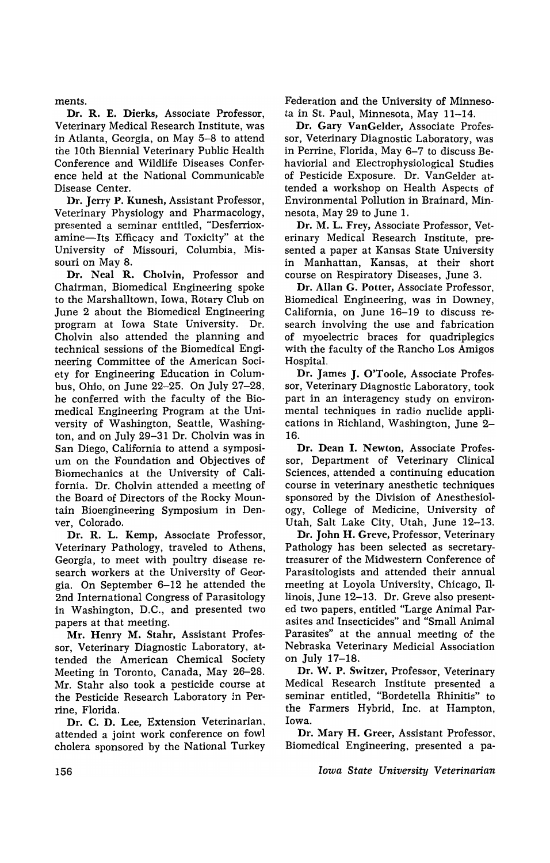ments.

Dr. R. E. Dierks, Associate Professor, Veterinary Medical Research Institute, was in Atlanta, Georgia, on May 5-8 to attend the 10th Biennial Veterinary Public Health Conference and Wildlife Diseases Conference held at the National Communicable Disease Center.

Dr. Jerry P. Kunesh, Assistant Professor, Veterinary Physiology and Pharmacology, presented a seminar entitled, "Desferrioxamine-Its Efficacy and Toxicity" at the University of Missouri, Columbia, Missouri on May 8.

Dr. Neal R. Cholvin, Professor and Chairman, Biomedical Engineering spoke to the Marshalltown, Iowa, Rotary Club on June 2 about the Biomedical Engineering program at Iowa State University. Dr. Cholvin also attended the planning and technical sessions of the Biomedical Engineering Committee of the American Society for Engineering Education in Columbus, Ohio, on June 22-25. On July 27-28, he conferred with the faculty of the Biomedical Engineering Program at the University of Washington, Seattle, Washington, and on July 29-31 Dr. Cholvin was in San Diego, California to attend a symposium on the Foundation and Objectives of Biomechanics at the University of California. Dr. Cholvin attended a meeting of the Board of Directors of the Rocky Mountain Bioengineering Symposium in Denver, Colorado.

Dr. R. L. Kemp, Associate Professor, Veterinary Pathology, traveled to Athens, Georgia, to meet with poultry disease research workers at the University of Georgia. On September 6-12 he attended the 2nd International Congress of Parasitology in Washington, D.C., and presented two papers at that meeting.

Mr. Henry M. Stahr, Assistant Professor, Veterinary Diagnostic Laboratory, attended the American Chemical Society Meeting in Toronto, Canada, May 26-28. Mr. Stahr also took a pesticide course at the Pesticide Research Laboratory in Perrine, Florida.

Dr. C. D. Lee, Extension Veterinarian. attended a joint work conference on fowl cholera sponsored by the National Turkey Federation and the University of Minnesota in St. Paul, Minnesota, May 11-14.

Dr. Gary VanGelder, Associate Professor, Veterinary Diagnostic Laboratory, was in Perrine, Florida, May 6-7 to discuss Behaviorial and Electrophysiological Studies of Pesticide Exposure. Dr. VanGelder attended a workshop on Health Aspects of Environmental Pollution in Brainard, Minnesota, May 29 to June 1.

Dr. M. L. Frey, Associate Professor, Veterinary Medical Research Institute, presented a paper at Kansas State University in Manhattan, Kansas, at their short course on Respiratory Diseases, June 3.

Dr. Allan G. Potter, Associate Professor, Biomedical Engineering, was in Downey, California, on June 16-19 to discuss research involving the use and fabrication of myoelectric braces for quadriplegics with the faculty of the Rancho Los Amigos Hospital.

Dr. James J. O'Toole, Associate Professor, Veterinary Diagnostic Laboratory, took part in an interagency study on environmental techniques in radio nuclide applications in Richland, Washington, June 2- 16.

Dr. Dean I. Newton, Associate Professor, Department of Veterinary Clinical Sciences, attended a continuing education course in veterinary anesthetic techniques sponsored by the Division of Anesthesiology, College of Medicine, University of Utah, Salt Lake City, Utah, June 12-13.

Dr. John H. Greve, Professor, Veterinary Pathology has been selected as secretarytreasurer of the Midwestern Conference of Parasitologists and attended their annual meeting at Loyola University, Chicago, TIlinois, June 12-13. Dr. Greve also presented two papers, entitled "Large Animal Parasites and Insecticides" and "Small Animal Parasites" at the annual meeting of the Nebraska Veterinary Medicial Association on July 17-18.

Dr. W. P. Switzer, Professor, Veterinary Medical Research Institute presented a seminar entitled, "Bordetella Rhinitis" to the Farmers Hybrid, Inc. at Hampton, Iowa.

Dr. Mary H. Greer, Assistant Professor, Biomedical Engineering, presented a pa-

*Iowa State University Veterinarian*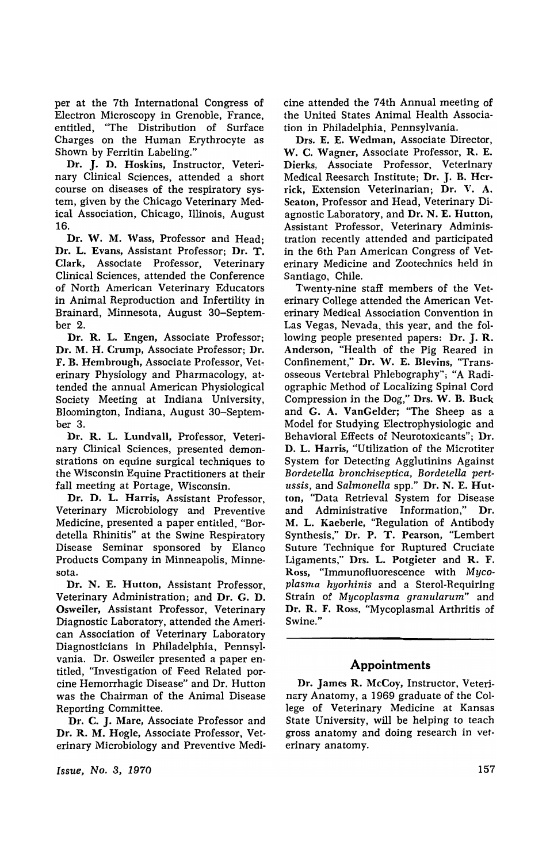per at the 7th International Congress of Electron Microscopy in Grenoble, France, entitled, "The Distribution of Surface Charges on the Human Erythrocyte as Shown by Ferritin Labeling."

Dr. J. D. Hoskins, Instructor, Veterinary Clinical Sciences, attended a short course on diseases of the respiratory system, given by the Chicago Veterinary Medical Association, Chicago, Illinois, August 16.

Dr. W. M. Wass, Professor and Head; Dr. L. Evans, Assistant Professor; Dr. T. Clark, Associate Professor, Veterinary Clinical Sciences, attended the Conference of North American Veterinary Educators in Animal Reproduction and Infertility in Brainard, Minnesota, August 30-September 2.

Dr. R. L. Engen, Associate Professor; Dr. M. H. Crump, Associate Professor; Dr. F. B. Hembrough, Associate Professor, Veterinary Physiology and Pharmacology, attended the annual American PhYSiological Society Meeting at Indiana University, Bloomington, Indiana, August 30-September 3.

Dr. R. L. Lundvall, Professor, Veterinary Clinical Sciences, presented demonstrations on equine surgical techniques to the Wisconsin Equine Practitioners at their fall meeting at Portage, Wisconsin.

Dr. D. L. Harris, Assistant Professor, Veterinary Microbiology and Preventive Medicine, presented a paper entitled, "Bordetella Rhinitis" at the Swine Respiratory Disease Seminar sponsored by Elanco Products Company in Minneapolis, Minnesota.

Dr. N. E. Hutton, Assistant Professor, Veterinary Administration; and Dr. G. D. Osweiler, Assistant Professor, Veterinary Diagnostic Laboratory, attended the American Association of Veterinary Laboratory Diagnosticians in Philadelphia, Pennsylvania. Dr. Osweiler presented a paper entitled, "Investigation of Feed Related porcine Hemorrhagic Disease" and Dr. Hutton was the Chairman of the Animal Disease Reporting Committee.

Dr. C. J. Mare, Associate Professor and Dr. R. M. Hogle. Associate Professor, Veterinary Microbiology and Preventive Medi-

*Issue, No.3, 1970* 

cine attended the 74th Annual meeting of the United States Animal Health Association in Philadelphia, Pennsylvania.

Drs. E. E. Wedman, Associate Director, W. C. Wagner, Associate Professor, R. E. Dierks, Associate Professor, Veterinary Medical Reesarch Institute; Dr. J. B. Herrick. Extension Veterinarian; Dr. V. A. Seaton, Professor and Head, Veterinary Diagnostic Laboratory, and Dr. N. E. Hutton, Assistant Professor, Veterinary Administration recently attended and participated in the 6th Pan American Congress of Veterinary Medicine and Zootechnics held in Santiago, Chile.

Twenty-nine staff members of the Veterinary College attended the American Veterinary Medical Association Convention in Las Vegas, Nevada, this year, and the following people presented papers: Dr. J. R. Anderson. "Health of the Pig Reared in Confinement," Dr. W. E. Blevins, "Transosseous Vertebral Phlebography"; "A Radiographic Method of Localizing Spinal Cord Compression in the Dog," Drs. W. B. Buck and G. A. VanGelder; "The Sheep as a Model for Studying Electrophysiologic and Behavioral Effects of Neurotoxicants"; Dr. D. L. Harris, "Utilization of the Microtiter System for Detecting Agglutinins Against *Bordetella bronchiseptica, Bordetella pertussis,* and *Salmonella* spp." Dr. N. E. Hutton, "Data Retrieval System for Disease and Administrative Information," Dr. M. L. Kacberle. "Regulation of Antibody Synthesis," Dr. P. T. Pearson. "Lembert Suture Technique for Ruptured Cruciate Ligaments," Drs. L. Potgieter and R. F. Ross. "Immunofluorescence with *Mycoplasma hyorhinis* and a Sterol-Requiring Strain of *Mycoplasma granularum"* and Dr. R. F. Ross. "Mycoplasmal Arthritis of Swine."

### **Appointments**

Dr. James R. McCoy. Instructor, Veterinary Anatomy, a 1969 graduate of the College of Veterinary Medicine at Kansas State University, will be helping to teach gross anatomy and doing research in vet· erinary anatomy.